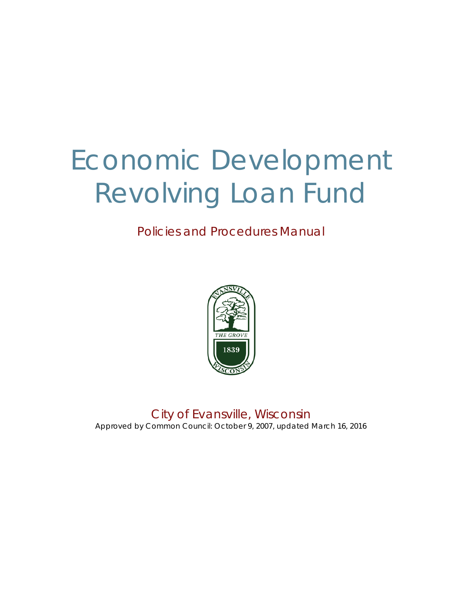# Economic Development Revolving Loan Fund

# Policies and Procedures Manual



City of Evansville, Wisconsin Approved by Common Council: October 9, 2007, updated March 16, 2016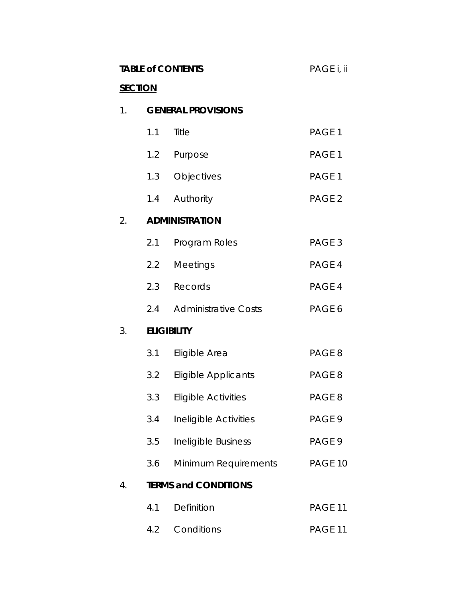#### **SECTION**

#### 1. **GENERAL PROVISIONS**

- 1.1 Title PAGE 1
- 1.2 Purpose PAGE 1
- 1.3 Objectives PAGE 1
- 1.4 Authority PAGE 2

#### 2. **ADMINISTRATION**

- 2.1 Program Roles PAGE 3
- 2.2 Meetings PAGE 4
- 2.3 Records PAGE 4
- 2.4 Administrative Costs PAGE 6

#### 3. **ELIGIBILITY**

- 3.1 Eligible Area PAGE 8
- 3.2 Eligible Applicants PAGE 8
- 3.3 Eligible Activities PAGE 8
- 3.4 Ineligible Activities PAGE 9
- 3.5 Ineligible Business PAGE 9
- 3.6 Minimum Requirements PAGE 10

#### 4. **TERMS and CONDITIONS**

- 4.1 Definition PAGE 11
- 4.2 Conditions PAGE 11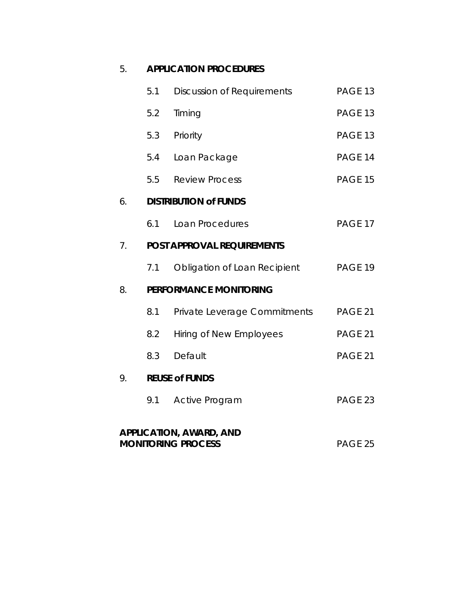# 5. **APPLICATION PROCEDURES**

| 5.1                                     | <b>Discussion of Requirements</b> | PAGE 13 |
|-----------------------------------------|-----------------------------------|---------|
| 5.2                                     | Timing                            | PAGE 13 |
| 5.3                                     | Priority                          | PAGE 13 |
| 5.4                                     | Loan Package                      | PAGE 14 |
| 5.5                                     | <b>Review Process</b>             | PAGE 15 |
| <b>DISTRIBUTION of FUNDS</b>            |                                   |         |
| 6.1                                     | Loan Procedures                   | PAGE 17 |
| <b>POST APPROVAL REQUIREMENTS</b><br>7. |                                   |         |
| 7.1                                     | Obligation of Loan Recipient      | PAGE 19 |
| PERFORMANCE MONITORING<br>8.            |                                   |         |
| 8.1                                     | Private Leverage Commitments      | PAGE 21 |
| 8.2                                     | <b>Hiring of New Employees</b>    | PAGE 21 |
| 8.3                                     | Default                           | PAGE 21 |
| <b>REUSE of FUNDS</b>                   |                                   |         |
| 9.1                                     | <b>Active Program</b>             | PAGE 23 |
| <b>APPLICATION, AWARD, AND</b>          |                                   |         |
|                                         |                                   |         |

**MONITORING PROCESS** PAGE 25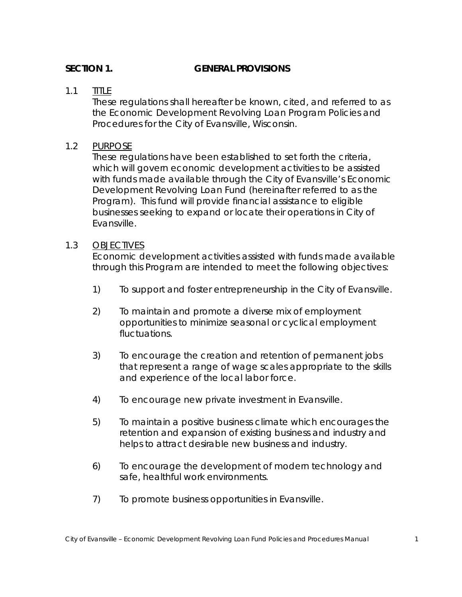# **SECTION 1. GENERAL PROVISIONS**

### 1.1 TITLE

These regulations shall hereafter be known, cited, and referred to as the Economic Development Revolving Loan Program Policies and Procedures for the City of Evansville, Wisconsin.

### 1.2 PURPOSE

These regulations have been established to set forth the criteria, which will govern economic development activities to be assisted with funds made available through the City of Evansville's Economic Development Revolving Loan Fund (hereinafter referred to as the Program). This fund will provide financial assistance to eligible businesses seeking to expand or locate their operations in City of Evansville.

#### 1.3 OBJECTIVES

Economic development activities assisted with funds made available through this Program are intended to meet the following objectives:

- 1) To support and foster entrepreneurship in the City of Evansville.
- 2) To maintain and promote a diverse mix of employment opportunities to minimize seasonal or cyclical employment fluctuations.
- 3) To encourage the creation and retention of permanent jobs that represent a range of wage scales appropriate to the skills and experience of the local labor force.
- 4) To encourage new private investment in Evansville.
- 5) To maintain a positive business climate which encourages the retention and expansion of existing business and industry and helps to attract desirable new business and industry.
- 6) To encourage the development of modern technology and safe, healthful work environments.
- 7) To promote business opportunities in Evansville.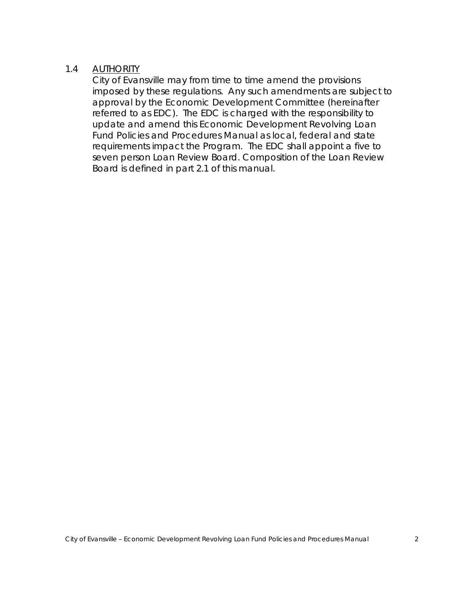#### 1.4 AUTHORITY

City of Evansville may from time to time amend the provisions imposed by these regulations. Any such amendments are subject to approval by the Economic Development Committee (hereinafter referred to as EDC). The EDC is charged with the responsibility to update and amend this Economic Development Revolving Loan Fund Policies and Procedures Manual as local, federal and state requirements impact the Program. The EDC shall appoint a five to seven person Loan Review Board. Composition of the Loan Review Board is defined in part 2.1 of this manual.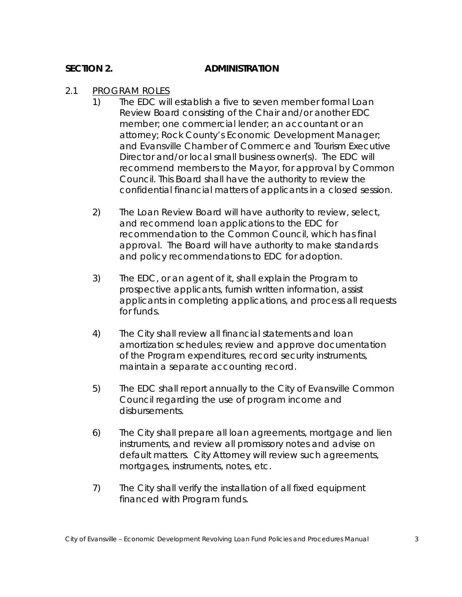#### **SECTION 2. ADMINISTRATION**

- 2.1 PROGRAM ROLES
	- 1) The EDC will establish a five to seven member formal Loan Review Board consisting of the Chair and/or another EDC member; one commercial lender; an accountant or an attorney; Rock County's Economic Development Manager; and Evansville Chamber of Commerce and Tourism Executive Director and/or local small business owner(s). The EDC will recommend members to the Mayor, for approval by Common Council. This Board shall have the authority to review the confidential financial matters of applicants in a closed session.
	- 2) The Loan Review Board will have authority to review, select, and recommend loan applications to the EDC for recommendation to the Common Council, which has final approval. The Board will have authority to make standards and policy recommendations to EDC for adoption.
	- 3) The EDC, or an agent of it, shall explain the Program to prospective applicants, furnish written information, assist applicants in completing applications, and process all requests for funds.
	- 4) The City shall review all financial statements and loan amortization schedules; review and approve documentation of the Program expenditures, record security instruments, maintain a separate accounting record.
	- 5) The EDC shall report annually to the City of Evansville Common Council regarding the use of program income and disbursements.
	- 6) The City shall prepare all loan agreements, mortgage and lien instruments, and review all promissory notes and advise on default matters. City Attorney will review such agreements, mortgages, instruments, notes, etc.
	- 7) The City shall verify the installation of all fixed equipment financed with Program funds.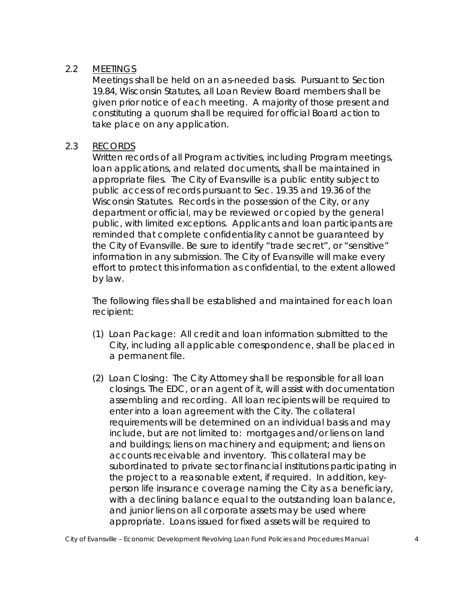#### 2.2 MEETINGS

Meetings shall be held on an as-needed basis. Pursuant to Section 19.84, Wisconsin Statutes, all Loan Review Board members shall be given prior notice of each meeting. A majority of those present and constituting a quorum shall be required for official Board action to take place on any application.

#### 2.3 RECORDS

Written records of all Program activities, including Program meetings, loan applications, and related documents, shall be maintained in appropriate files. The City of Evansville is a public entity subject to public access of records pursuant to Sec. 19.35 and 19.36 of the Wisconsin Statutes. Records in the possession of the City, or any department or official, may be reviewed or copied by the general public, with limited exceptions. Applicants and loan participants are reminded that complete confidentiality cannot be guaranteed by the City of Evansville. Be sure to identify "trade secret", or "sensitive" information in any submission. The City of Evansville will make every effort to protect this information as confidential, to the extent allowed by law.

The following files shall be established and maintained for each loan recipient:

- (1) Loan Package: All credit and loan information submitted to the City, including all applicable correspondence, shall be placed in a permanent file.
- (2) Loan Closing: The City Attorney shall be responsible for all loan closings. The EDC, or an agent of it, will assist with documentation assembling and recording. All loan recipients will be required to enter into a loan agreement with the City. The collateral requirements will be determined on an individual basis and may include, but are not limited to: mortgages and/or liens on land and buildings; liens on machinery and equipment; and liens on accounts receivable and inventory. This collateral may be subordinated to private sector financial institutions participating in the project to a reasonable extent, if required. In addition, keyperson life insurance coverage naming the City as a beneficiary, with a declining balance equal to the outstanding loan balance, and junior liens on all corporate assets may be used where appropriate. Loans issued for fixed assets will be required to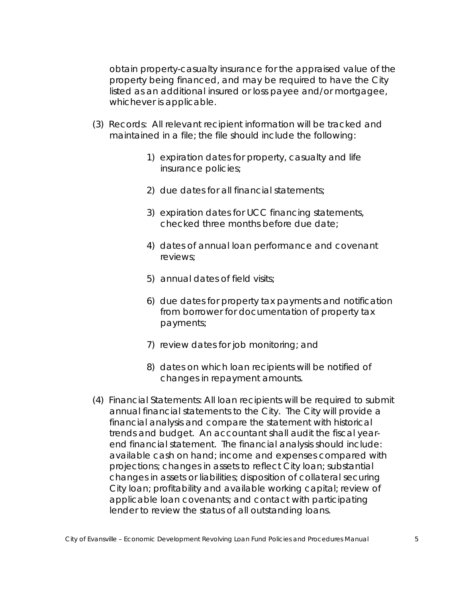obtain property-casualty insurance for the appraised value of the property being financed, and may be required to have the City listed as an additional insured or loss payee and/or mortgagee, whichever is applicable.

- (3) Records: All relevant recipient information will be tracked and maintained in a file; the file should include the following:
	- 1) expiration dates for property, casualty and life insurance policies;
	- 2) due dates for all financial statements;
	- 3) expiration dates for UCC financing statements, checked three months before due date;
	- 4) dates of annual loan performance and covenant reviews;
	- 5) annual dates of field visits;
	- 6) due dates for property tax payments and notification from borrower for documentation of property tax payments;
	- 7) review dates for job monitoring; and
	- 8) dates on which loan recipients will be notified of changes in repayment amounts.
- (4) Financial Statements: All loan recipients will be required to submit annual financial statements to the City. The City will provide a financial analysis and compare the statement with historical trends and budget. An accountant shall audit the fiscal yearend financial statement. The financial analysis should include: available cash on hand; income and expenses compared with projections; changes in assets to reflect City loan; substantial changes in assets or liabilities; disposition of collateral securing City loan; profitability and available working capital; review of applicable loan covenants; and contact with participating lender to review the status of all outstanding loans.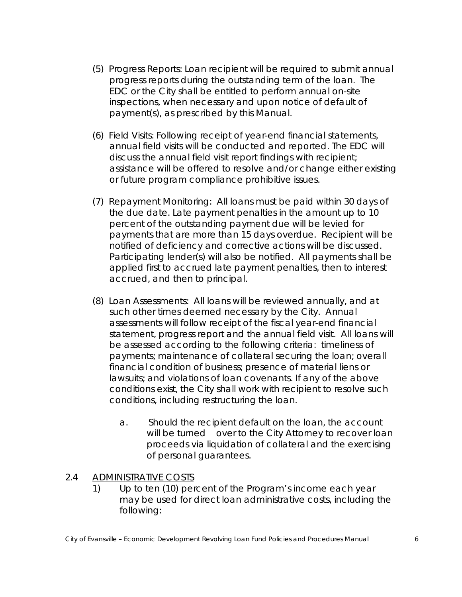- (5) Progress Reports: Loan recipient will be required to submit annual progress reports during the outstanding term of the loan. The EDC or the City shall be entitled to perform annual on-site inspections, when necessary and upon notice of default of payment(s), as prescribed by this Manual.
- (6) Field Visits: Following receipt of year-end financial statements, annual field visits will be conducted and reported. The EDC will discuss the annual field visit report findings with recipient; assistance will be offered to resolve and/or change either existing or future program compliance prohibitive issues.
- (7) Repayment Monitoring: All loans must be paid within 30 days of the due date. Late payment penalties in the amount up to 10 percent of the outstanding payment due will be levied for payments that are more than 15 days overdue. Recipient will be notified of deficiency and corrective actions will be discussed. Participating lender(s) will also be notified. All payments shall be applied first to accrued late payment penalties, then to interest accrued, and then to principal.
- (8) Loan Assessments: All loans will be reviewed annually, and at such other times deemed necessary by the City. Annual assessments will follow receipt of the fiscal year-end financial statement, progress report and the annual field visit. All loans will be assessed according to the following criteria: timeliness of payments; maintenance of collateral securing the loan; overall financial condition of business; presence of material liens or lawsuits; and violations of loan covenants. If any of the above conditions exist, the City shall work with recipient to resolve such conditions, including restructuring the loan.
	- a. Should the recipient default on the loan, the account will be turned over to the City Attorney to recover loan proceeds via liquidation of collateral and the exercising of personal guarantees.

#### 2.4 ADMINISTRATIVE COSTS

1) Up to ten (10) percent of the Program's income each year may be used for direct loan administrative costs, including the following: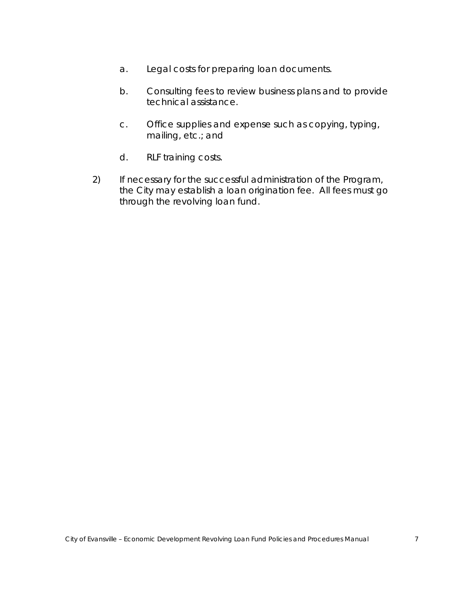- a. Legal costs for preparing loan documents.
- b. Consulting fees to review business plans and to provide technical assistance.
- c. Office supplies and expense such as copying, typing, mailing, etc.; and
- d. RLF training costs.
- 2) If necessary for the successful administration of the Program, the City may establish a loan origination fee. All fees must go through the revolving loan fund.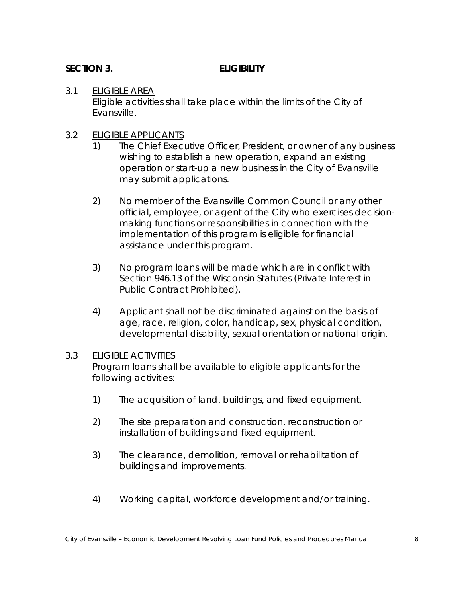### **SECTION 3. ELIGIBILITY**

- 3.1 ELIGIBLE AREA Eligible activities shall take place within the limits of the City of Evansville.
- 3.2 ELIGIBLE APPLICANTS
	- 1) The Chief Executive Officer, President, or owner of any business wishing to establish a new operation, expand an existing operation or start-up a new business in the City of Evansville may submit applications.
	- 2) No member of the Evansville Common Council or any other official, employee, or agent of the City who exercises decisionmaking functions or responsibilities in connection with the implementation of this program is eligible for financial assistance under this program.
	- 3) No program loans will be made which are in conflict with Section 946.13 of the Wisconsin Statutes (Private Interest in Public Contract Prohibited).
	- 4) Applicant shall not be discriminated against on the basis of age, race, religion, color, handicap, sex, physical condition, developmental disability, sexual orientation or national origin.

# 3.3 ELIGIBLE ACTIVITIES

Program loans shall be available to eligible applicants for the following activities:

- 1) The acquisition of land, buildings, and fixed equipment.
- 2) The site preparation and construction, reconstruction or installation of buildings and fixed equipment.
- 3) The clearance, demolition, removal or rehabilitation of buildings and improvements.
- 4) Working capital, workforce development and/or training.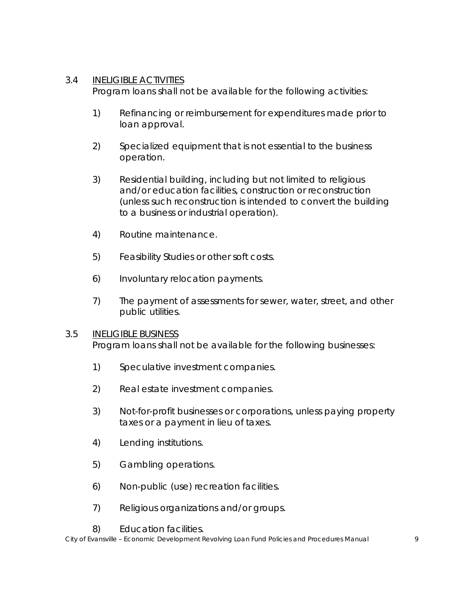#### 3.4 INELIGIBLE ACTIVITIES

Program loans shall not be available for the following activities:

- 1) Refinancing or reimbursement for expenditures made prior to loan approval.
- 2) Specialized equipment that is not essential to the business operation.
- 3) Residential building, including but not limited to religious and/or education facilities, construction or reconstruction (unless such reconstruction is intended to convert the building to a business or industrial operation).
- 4) Routine maintenance.
- 5) Feasibility Studies or other soft costs.
- 6) Involuntary relocation payments.
- 7) The payment of assessments for sewer, water, street, and other public utilities.

#### 3.5 INELIGIBLE BUSINESS

Program loans shall not be available for the following businesses:

- 1) Speculative investment companies.
- 2) Real estate investment companies.
- 3) Not-for-profit businesses or corporations, unless paying property taxes or a payment in lieu of taxes.
- 4) Lending institutions.
- 5) Gambling operations.
- 6) Non-public (use) recreation facilities.
- 7) Religious organizations and/or groups.
- 8) Education facilities.

*City of Evansville – Economic Development Revolving Loan Fund Policies and Procedures Manual 9*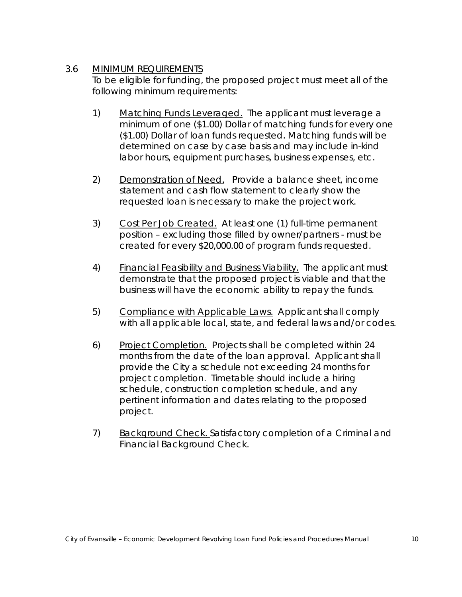#### 3.6 MINIMUM REQUIREMENTS

To be eligible for funding, the proposed project must meet all of the following minimum requirements:

- 1) Matching Funds Leveraged. The applicant must leverage a minimum of one (\$1.00) Dollar of matching funds for every one (\$1.00) Dollar of loan funds requested. Matching funds will be determined on case by case basis and may include in-kind labor hours, equipment purchases, business expenses, etc.
- 2) Demonstration of Need. Provide a balance sheet, income statement and cash flow statement to clearly show the requested loan is necessary to make the project work.
- 3) Cost Per Job Created. At least one (1) full-time permanent position – excluding those filled by owner/partners - must be created for every \$20,000.00 of program funds requested.
- 4) Financial Feasibility and Business Viability. The applicant must demonstrate that the proposed project is viable and that the business will have the economic ability to repay the funds.
- 5) Compliance with Applicable Laws. Applicant shall comply with all applicable local, state, and federal laws and/or codes.
- 6) Project Completion. Projects shall be completed within 24 months from the date of the loan approval. Applicant shall provide the City a schedule not exceeding 24 months for project completion. Timetable should include a hiring schedule, construction completion schedule, and any pertinent information and dates relating to the proposed project.
- 7) Background Check. Satisfactory completion of a Criminal and Financial Background Check.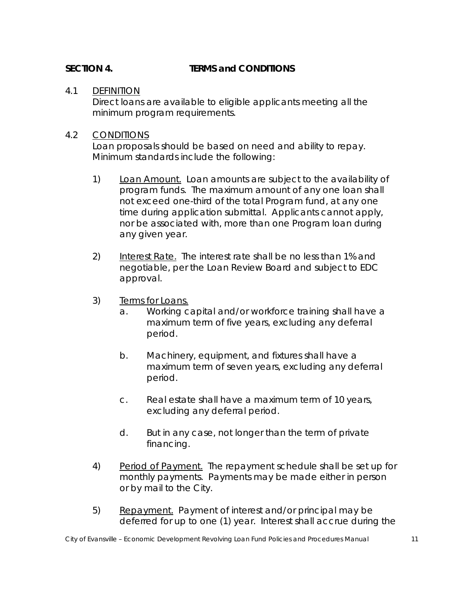# **SECTION 4. TERMS and CONDITIONS**

#### 4.1 DEFINITION

Direct loans are available to eligible applicants meeting all the minimum program requirements.

### 4.2 CONDITIONS

Loan proposals should be based on need and ability to repay. Minimum standards include the following:

- 1) Loan Amount. Loan amounts are subject to the availability of program funds. The maximum amount of any one loan shall not exceed one-third of the total Program fund, at any one time during application submittal. Applicants cannot apply, nor be associated with, more than one Program loan during any given year.
- 2) Interest Rate. The interest rate shall be no less than 1% and negotiable, per the Loan Review Board and subject to EDC approval.
- 3) Terms for Loans.
	- a. Working capital and/or workforce training shall have a maximum term of five years, excluding any deferral period.
	- b. Machinery, equipment, and fixtures shall have a maximum term of seven years, excluding any deferral period.
	- c. Real estate shall have a maximum term of 10 years, excluding any deferral period.
	- d. But in any case, not longer than the term of private financing.
- 4) Period of Payment. The repayment schedule shall be set up for monthly payments. Payments may be made either in person or by mail to the City.
- 5) Repayment. Payment of interest and/or principal may be deferred for up to one (1) year. Interest shall accrue during the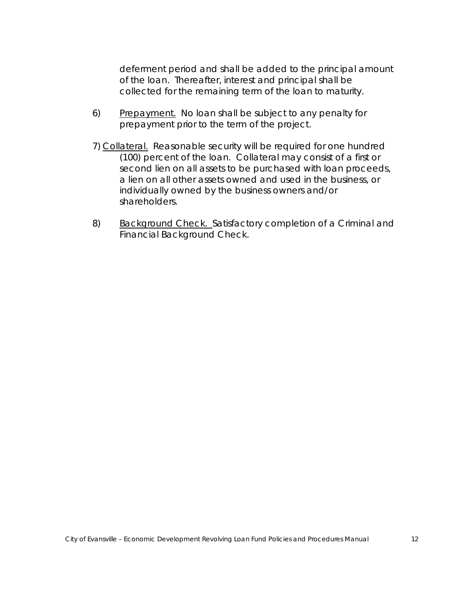deferment period and shall be added to the principal amount of the loan. Thereafter, interest and principal shall be collected for the remaining term of the loan to maturity.

- 6) Prepayment. No loan shall be subject to any penalty for prepayment prior to the term of the project.
- 7) Collateral. Reasonable security will be required for one hundred (100) percent of the loan. Collateral may consist of a first or second lien on all assets to be purchased with loan proceeds, a lien on all other assets owned and used in the business, or individually owned by the business owners and/or shareholders.
- 8) Background Check. Satisfactory completion of a Criminal and Financial Background Check.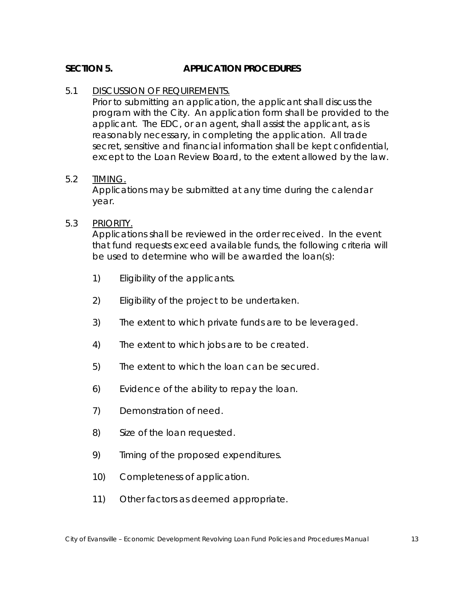# **SECTION 5. APPLICATION PROCEDURES**

5.1 DISCUSSION OF REQUIREMENTS.

Prior to submitting an application, the applicant shall discuss the program with the City. An application form shall be provided to the applicant. The EDC, or an agent, shall assist the applicant, as is reasonably necessary, in completing the application. All trade secret, sensitive and financial information shall be kept confidential, except to the Loan Review Board, to the extent allowed by the law.

#### 5.2 TIMING.

Applications may be submitted at any time during the calendar year.

#### 5.3 PRIORITY.

Applications shall be reviewed in the order received. In the event that fund requests exceed available funds, the following criteria will be used to determine who will be awarded the loan(s):

- 1) Eligibility of the applicants.
- 2) Eligibility of the project to be undertaken.
- 3) The extent to which private funds are to be leveraged.
- 4) The extent to which jobs are to be created.
- 5) The extent to which the loan can be secured.
- 6) Evidence of the ability to repay the loan.
- 7) Demonstration of need.
- 8) Size of the loan requested.
- 9) Timing of the proposed expenditures.
- 10) Completeness of application.
- 11) Other factors as deemed appropriate.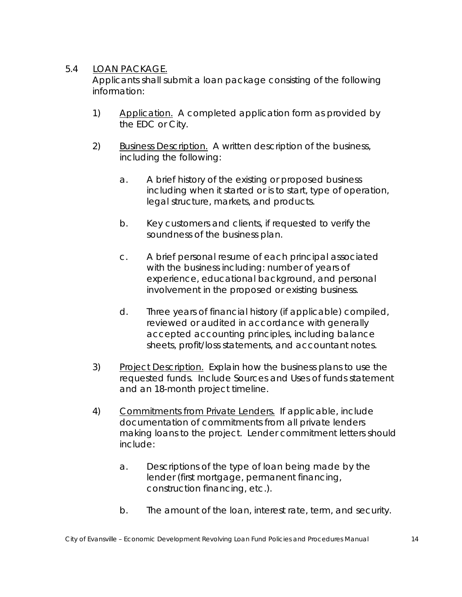### 5.4 LOAN PACKAGE.

Applicants shall submit a loan package consisting of the following information:

- 1) Application. A completed application form as provided by the EDC or City.
- 2) Business Description. A written description of the business, including the following:
	- a. A brief history of the existing or proposed business including when it started or is to start, type of operation, legal structure, markets, and products.
	- b. Key customers and clients, if requested to verify the soundness of the business plan.
	- c. A brief personal resume of each principal associated with the business including: number of years of experience, educational background, and personal involvement in the proposed or existing business.
	- d. Three years of financial history (if applicable) compiled, reviewed or audited in accordance with generally accepted accounting principles, including balance sheets, profit/loss statements, and accountant notes.
- 3) Project Description. Explain how the business plans to use the requested funds. Include Sources and Uses of funds statement and an 18-month project timeline.
- 4) Commitments from Private Lenders. If applicable, include documentation of commitments from all private lenders making loans to the project. Lender commitment letters should include:
	- a. Descriptions of the type of loan being made by the lender (first mortgage, permanent financing, construction financing, etc.).
	- b. The amount of the loan, interest rate, term, and security.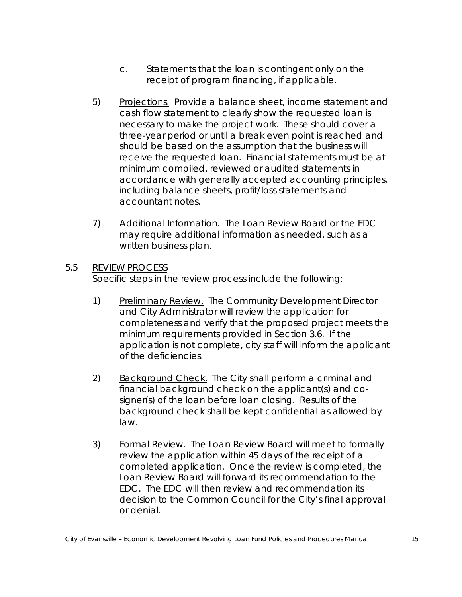- c. Statements that the loan is contingent only on the receipt of program financing, if applicable.
- 5) Projections. Provide a balance sheet, income statement and cash flow statement to clearly show the requested loan is necessary to make the project work. These should cover a three-year period or until a break even point is reached and should be based on the assumption that the business will receive the requested loan. Financial statements must be at minimum compiled, reviewed or audited statements in accordance with generally accepted accounting principles, including balance sheets, profit/loss statements and accountant notes.
- 7) Additional Information. The Loan Review Board or the EDC may require additional information as needed, such as a written business plan.

# 5.5 REVIEW PROCESS Specific steps in the review process include the following:

- 1) Preliminary Review. The Community Development Director and City Administrator will review the application for completeness and verify that the proposed project meets the minimum requirements provided in Section 3.6. If the application is not complete, city staff will inform the applicant of the deficiencies.
- 2) Background Check. The City shall perform a criminal and financial background check on the applicant(s) and cosigner(s) of the loan before loan closing. Results of the background check shall be kept confidential as allowed by law.
- 3) Formal Review. The Loan Review Board will meet to formally review the application within 45 days of the receipt of a completed application. Once the review is completed, the Loan Review Board will forward its recommendation to the EDC. The EDC will then review and recommendation its decision to the Common Council for the City's final approval or denial.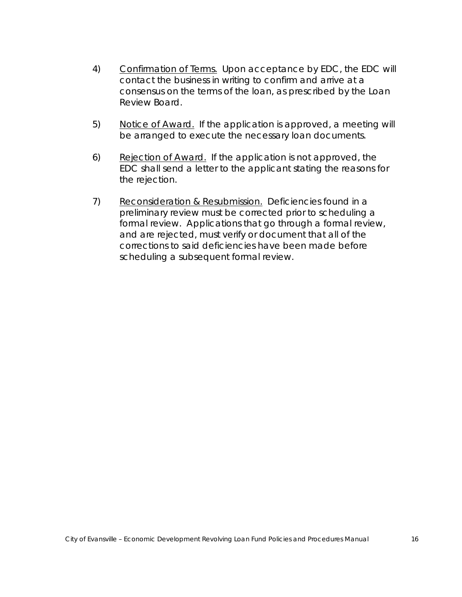- 4) Confirmation of Terms. Upon acceptance by EDC, the EDC will contact the business in writing to confirm and arrive at a consensus on the terms of the loan, as prescribed by the Loan Review Board.
- 5) Notice of Award. If the application is approved, a meeting will be arranged to execute the necessary loan documents.
- 6) Rejection of Award. If the application is not approved, the EDC shall send a letter to the applicant stating the reasons for the rejection.
- 7) Reconsideration & Resubmission. Deficiencies found in a preliminary review must be corrected prior to scheduling a formal review. Applications that go through a formal review, and are rejected, must verify or document that all of the corrections to said deficiencies have been made before scheduling a subsequent formal review.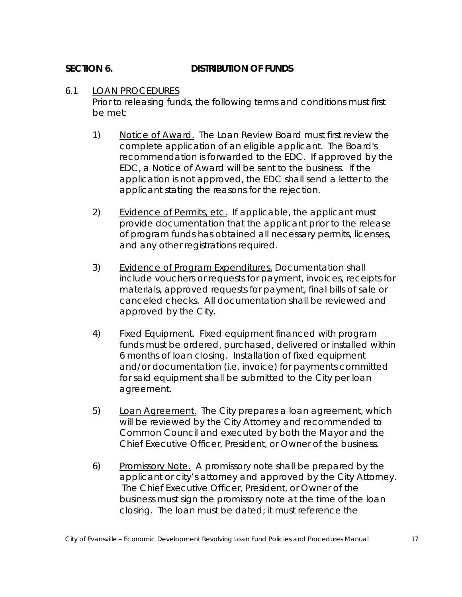# **SECTION 6. DISTRIBUTION OF FUNDS**

6.1 LOAN PROCEDURES

Prior to releasing funds, the following terms and conditions must first be met:

- 1) Notice of Award. The Loan Review Board must first review the complete application of an eligible applicant. The Board's recommendation is forwarded to the EDC. If approved by the EDC, a Notice of Award will be sent to the business. If the application is not approved, the EDC shall send a letter to the applicant stating the reasons for the rejection.
- 2) Evidence of Permits, etc. If applicable, the applicant must provide documentation that the applicant prior to the release of program funds has obtained all necessary permits, licenses, and any other registrations required.
- 3) Evidence of Program Expenditures. Documentation shall include vouchers or requests for payment, invoices, receipts for materials, approved requests for payment, final bills of sale or canceled checks. All documentation shall be reviewed and approved by the City.
- 4) Fixed Equipment. Fixed equipment financed with program funds must be ordered, purchased, delivered or installed within 6 months of loan closing. Installation of fixed equipment and/or documentation (i.e. invoice) for payments committed for said equipment shall be submitted to the City per loan agreement.
- 5) Loan Agreement. The City prepares a loan agreement, which will be reviewed by the City Attorney and recommended to Common Council and executed by both the Mayor and the Chief Executive Officer, President, or Owner of the business.
- 6) Promissory Note. A promissory note shall be prepared by the applicant or city's attorney and approved by the City Attorney. The Chief Executive Officer, President, or Owner of the business must sign the promissory note at the time of the loan closing. The loan must be dated; it must reference the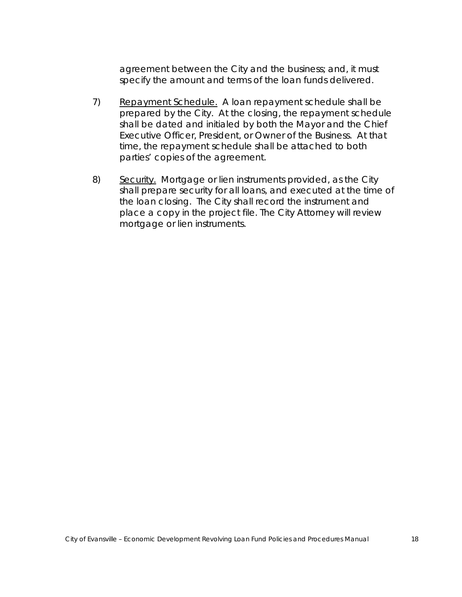agreement between the City and the business; and, it must specify the amount and terms of the loan funds delivered.

- 7) Repayment Schedule. A loan repayment schedule shall be prepared by the City. At the closing, the repayment schedule shall be dated and initialed by both the Mayor and the Chief Executive Officer, President, or Owner of the Business. At that time, the repayment schedule shall be attached to both parties' copies of the agreement.
- 8) Security. Mortgage or lien instruments provided, as the City shall prepare security for all loans, and executed at the time of the loan closing. The City shall record the instrument and place a copy in the project file. The City Attorney will review mortgage or lien instruments.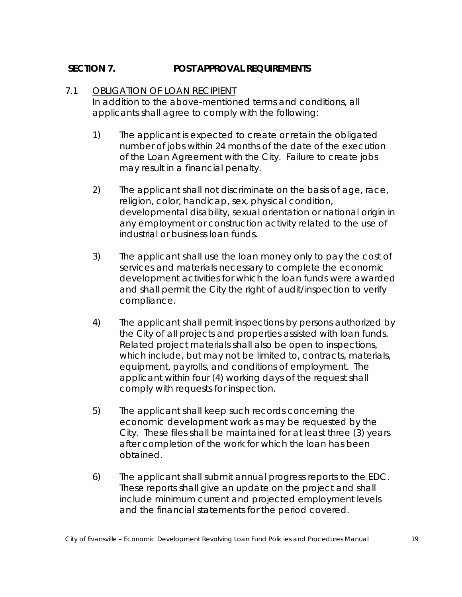# **SECTION 7. POST APPROVAL REQUIREMENTS**

#### 7.1 OBLIGATION OF LOAN RECIPIENT

In addition to the above-mentioned terms and conditions, all applicants shall agree to comply with the following:

- 1) The applicant is expected to create or retain the obligated number of jobs within 24 months of the date of the execution of the Loan Agreement with the City. Failure to create jobs may result in a financial penalty.
- 2) The applicant shall not discriminate on the basis of age, race, religion, color, handicap, sex, physical condition, developmental disability, sexual orientation or national origin in any employment or construction activity related to the use of industrial or business loan funds.
- 3) The applicant shall use the loan money only to pay the cost of services and materials necessary to complete the economic development activities for which the loan funds were awarded and shall permit the City the right of audit/inspection to verify compliance.
- 4) The applicant shall permit inspections by persons authorized by the City of all projects and properties assisted with loan funds. Related project materials shall also be open to inspections, which include, but may not be limited to, contracts, materials, equipment, payrolls, and conditions of employment. The applicant within four (4) working days of the request shall comply with requests for inspection.
- 5) The applicant shall keep such records concerning the economic development work as may be requested by the City. These files shall be maintained for at least three (3) years after completion of the work for which the loan has been obtained.
- 6) The applicant shall submit annual progress reports to the EDC. These reports shall give an update on the project and shall include minimum current and projected employment levels and the financial statements for the period covered.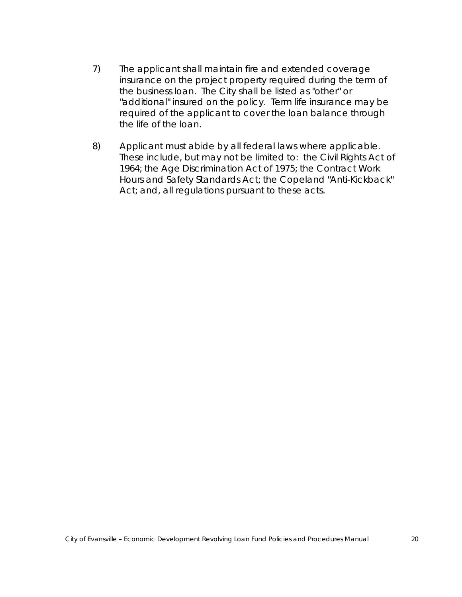- 7) The applicant shall maintain fire and extended coverage insurance on the project property required during the term of the business loan. The City shall be listed as "other" or "additional" insured on the policy. Term life insurance may be required of the applicant to cover the loan balance through the life of the loan.
- 8) Applicant must abide by all federal laws where applicable. These include, but may not be limited to: the Civil Rights Act of 1964; the Age Discrimination Act of 1975; the Contract Work Hours and Safety Standards Act; the Copeland "Anti-Kickback" Act; and, all regulations pursuant to these acts.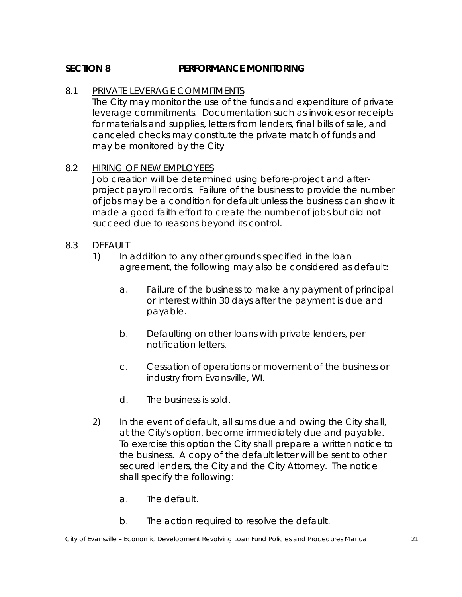# **SECTION 8 PERFORMANCE MONITORING**

### 8.1 PRIVATE LEVERAGE COMMITMENTS

The City may monitor the use of the funds and expenditure of private leverage commitments. Documentation such as invoices or receipts for materials and supplies, letters from lenders, final bills of sale, and canceled checks may constitute the private match of funds and may be monitored by the City

# 8.2 HIRING OF NEW EMPLOYEES

Job creation will be determined using before-project and afterproject payroll records. Failure of the business to provide the number of jobs may be a condition for default unless the business can show it made a good faith effort to create the number of jobs but did not succeed due to reasons beyond its control.

# 8.3 DEFAULT

- 1) In addition to any other grounds specified in the loan agreement, the following may also be considered as default:
	- a. Failure of the business to make any payment of principal or interest within 30 days after the payment is due and payable.
	- b. Defaulting on other loans with private lenders, per notification letters.
	- c. Cessation of operations or movement of the business or industry from Evansville, WI.
	- d. The business is sold.
- 2) In the event of default, all sums due and owing the City shall, at the City's option, become immediately due and payable. To exercise this option the City shall prepare a written notice to the business. A copy of the default letter will be sent to other secured lenders, the City and the City Attorney. The notice shall specify the following:
	- a. The default.
	- b. The action required to resolve the default.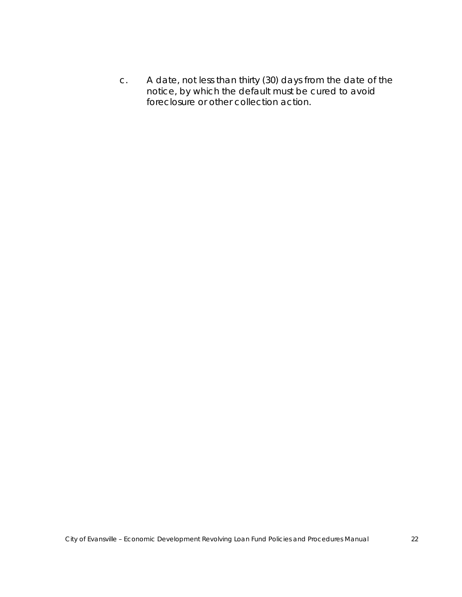c. A date, not less than thirty (30) days from the date of the notice, by which the default must be cured to avoid foreclosure or other collection action.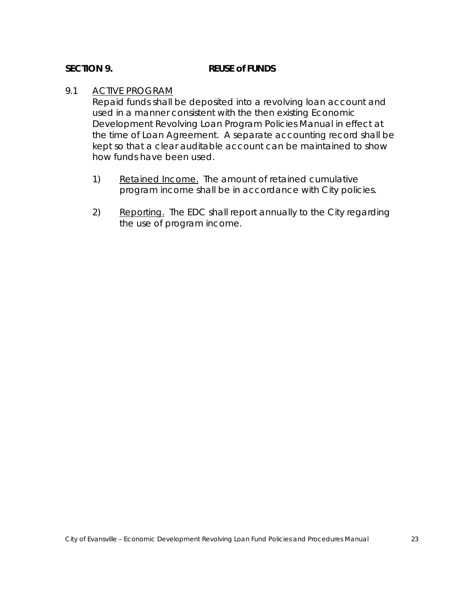#### **SECTION 9. REUSE of FUNDS**

9.1 ACTIVE PROGRAM

Repaid funds shall be deposited into a revolving loan account and used in a manner consistent with the then existing Economic Development Revolving Loan Program Policies Manual in effect at the time of Loan Agreement. A separate accounting record shall be kept so that a clear auditable account can be maintained to show how funds have been used.

- 1) Retained Income. The amount of retained cumulative program income shall be in accordance with City policies.
- 2) Reporting. The EDC shall report annually to the City regarding the use of program income.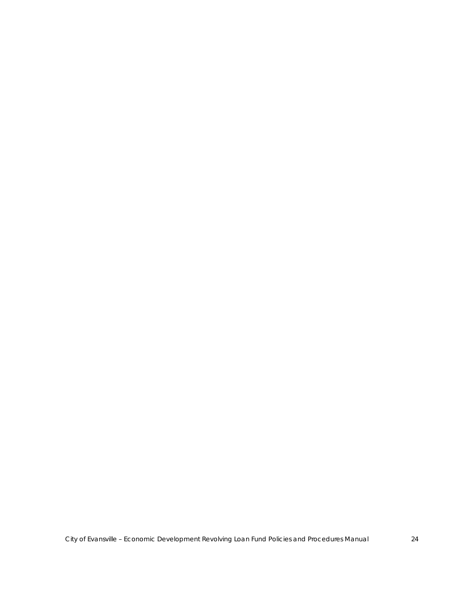*City of Evansville – Economic Development Revolving Loan Fund Policies and Procedures Manual 24*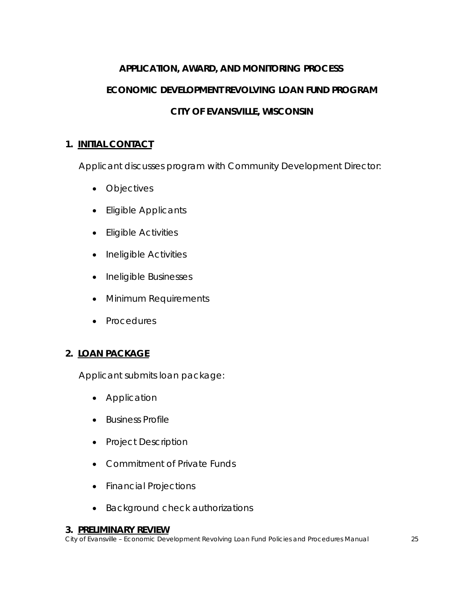# **APPLICATION, AWARD, AND MONITORING PROCESS**

# **ECONOMIC DEVELOPMENT REVOLVING LOAN FUND PROGRAM**

# **CITY OF EVANSVILLE, WISCONSIN**

# **1. INITIAL CONTACT**

Applicant discusses program with Community Development Director:

- Objectives
- Eligible Applicants
- Eligible Activities
- Ineligible Activities
- Ineligible Businesses
- Minimum Requirements
- Procedures

# **2. LOAN PACKAGE**

Applicant submits loan package:

- Application
- Business Profile
- Project Description
- Commitment of Private Funds
- Financial Projections
- Background check authorizations

#### **3. PRELIMINARY REVIEW**

*City of Evansville – Economic Development Revolving Loan Fund Policies and Procedures Manual 25*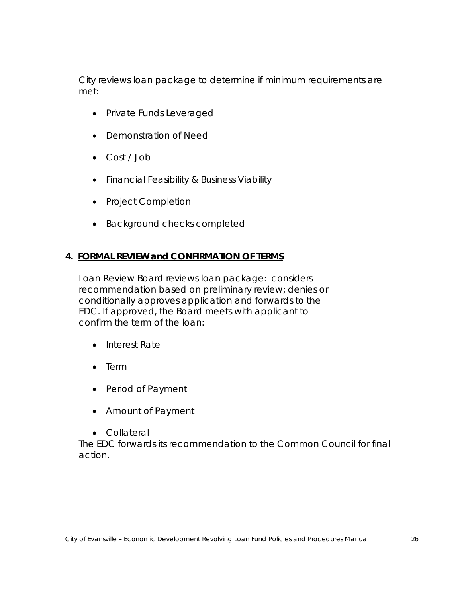City reviews loan package to determine if minimum requirements are met:

- Private Funds Leveraged
- Demonstration of Need
- Cost / Job
- Financial Feasibility & Business Viability
- Project Completion
- Background checks completed

# **4. FORMAL REVIEW and CONFIRMATION OF TERMS**

Loan Review Board reviews loan package: considers recommendation based on preliminary review; denies or conditionally approves application and forwards to the EDC. If approved, the Board meets with applicant to confirm the term of the loan:

- Interest Rate
- Term
- Period of Payment
- Amount of Payment
- Collateral

The EDC forwards its recommendation to the Common Council for final action.